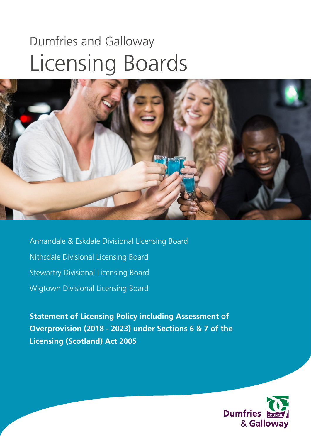# Dumfries and Galloway Licensing Boards



Annandale & Eskdale Divisional Licensing Board Nithsdale Divisional Licensing Board Stewartry Divisional Licensing Board Wigtown Divisional Licensing Board

**Statement of Licensing Policy including Assessment of Overprovision (2018 - 2023) under Sections 6 & 7 of the Licensing (Scotland) Act 2005** 

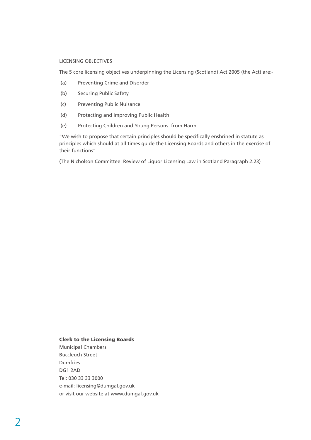#### LICENSING OBJECTIVES

The 5 core licensing objectives underpinning the Licensing (Scotland) Act 2005 (the Act) are:-

- (a) Preventing Crime and Disorder
- (b) Securing Public Safety
- (c) Preventing Public Nuisance
- (d) Protecting and Improving Public Health
- (e) Protecting Children and Young Persons from Harm

"We wish to propose that certain principles should be specifically enshrined in statute as principles which should at all times guide the Licensing Boards and others in the exercise of their functions".

(The Nicholson Committee: Review of Liquor Licensing Law in Scotland Paragraph 2.23)

#### Clerk to the Licensing Boards

Municipal Chambers Buccleuch Street Dumfries DG1 2AD Tel: 030 33 33 3000 e-mail: licensing@dumgal.gov.uk or visit our website at www.dumgal.gov.uk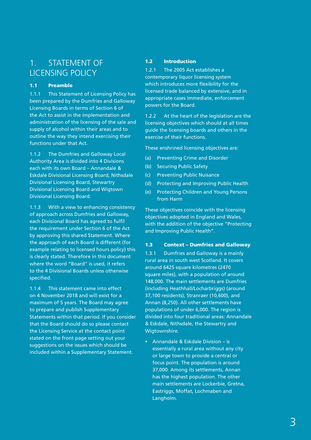# 1. STATEMENT OF LICENSING POLICY

#### 1.1 Preamble

1.1.1 This Statement of Licensing Policy has been prepared by the Dumfries and Galloway Licensing Boards in terms of Section 6 of the Act to assist in the implementation and administration of the licensing of the sale and supply of alcohol within their areas and to outline the way they intend exercising their functions under that Act.

1.1.2 The Dumfries and Galloway Local Authority Area is divided into 4 Divisions each with its own Board – Annandale & Eskdale Divisional Licensing Board, Nithsdale Divisional Licensing Board, Stewartry Divisional Licensing Board and Wigtown Divisional Licensing Board.

1.1.3 With a view to enhancing consistency of approach across Dumfries and Galloway, each Divisional Board has agreed to fulfil the requirement under Section 6 of the Act by approving this shared Statement. Where the approach of each Board is different (for example relating to licensed hours policy) this is clearly stated. Therefore in this document where the word "Board" is used, it refers to the 4 Divisional Boards unless otherwise specified.

1.1.4 This statement came into effect on 4 November 2018 and will exist for a maximum of 5 years. The Board may agree to prepare and publish Supplementary Statements within that period. If you consider that the Board should do so please contact the Licensing Service at the contact point stated on the front page setting out your suggestions on the issues which should be included within a Supplementary Statement.

#### 1.2 Introduction

1.2.1 The 2005 Act establishes a contemporary liquor licensing system which introduces more flexibility for the licensed trade balanced by extensive, and in appropriate cases immediate, enforcement powers for the Board.

1.2.2 At the heart of the legislation are the licensing objectives which should at all times guide the licensing boards and others in the exercise of their functions.

These enshrined licensing objectives are:

- (a) Preventing Crime and Disorder
- (b) Securing Public Safety
- (c) Preventing Public Nuisance
- (d) Protecting and Improving Public Health
- (e) Protecting Children and Young Persons from Harm

These objectives coincide with the licensing objectives adopted in England and Wales, with the addition of the objective "Protecting and Improving Public Health".

#### 1.3 Context – Dumfries and Galloway

1.3.1 Dumfries and Galloway is a mainly rural area in south west Scotland. It covers around 6425 square kilometres (2470 square miles), with a population of around 148,000. The main settlements are Dumfries (including Heathhall/Locharbriggs) (around 37,100 residents), Stranraer (10,600), and Annan (8,250). All other settlements have populations of under 6,000. The region is divided into four traditional areas: Annandale & Eskdale, Nithsdale, the Stewartry and Wigtownshire.

• Annandale & Eskdale Division – is essentially a rural area without any city or large town to provide a central or focus point. The population is around 37,000. Among its settlements, Annan has the highest population. The other main settlements are Lockerbie, Gretna, Eastriggs, Moffat, Lochmaben and Langholm.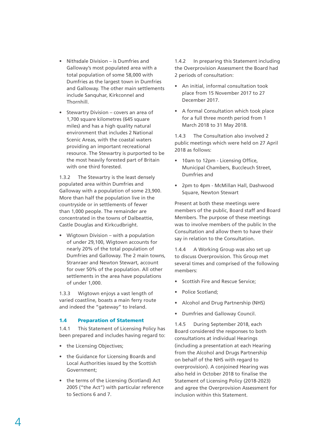- Nithsdale Division is Dumfries and Galloway's most populated area with a total population of some 58,000 with Dumfries as the largest town in Dumfries and Galloway. The other main settlements include Sanquhar, Kirkconnel and Thornhill.
- Stewartry Division covers an area of 1,700 square kilometres (645 square miles) and has a high quality natural environment that includes 2 National Scenic Areas, with the coastal waters providing an important recreational resource. The Stewartry is purported to be the most heavily forested part of Britain with one third forested

1.3.2 The Stewartry is the least densely populated area within Dumfries and Galloway with a population of some 23,900. More than half the population live in the countryside or in settlements of fewer than 1,000 people. The remainder are concentrated in the towns of Dalbeattie, Castle Douglas and Kirkcudbright.

• Wigtown Division – with a population of under 29,100, Wigtown accounts for nearly 20% of the total population of Dumfries and Galloway. The 2 main towns, Stranraer and Newton Stewart, account for over 50% of the population. All other settlements in the area have populations of under 1,000.

1.3.3 Wigtown enjoys a vast length of varied coastline, boasts a main ferry route and indeed the "gateway" to Ireland.

#### 1.4 Preparation of Statement

1.4.1 This Statement of Licensing Policy has been prepared and includes having regard to:

- the Licensing Objectives;
- the Guidance for Licensing Boards and Local Authorities issued by the Scottish Government;
- the terms of the Licensing (Scotland) Act 2005 ("the Act") with particular reference to Sections 6 and 7.

1.4.2 In preparing this Statement including the Overprovision Assessment the Board had 2 periods of consultation:

- An initial, informal consultation took place from 15 November 2017 to 27 December 2017.
- A formal Consultation which took place for a full three month period from 1 March 2018 to 31 May 2018.

1.4.3 The Consultation also involved 2 public meetings which were held on 27 April 2018 as follows:

- 10am to 12pm Licensing Office, Municipal Chambers, Buccleuch Street, Dumfries and
- 2pm to 4pm McMillan Hall, Dashwood Square, Newton Stewart

Present at both these meetings were members of the public, Board staff and Board Members. The purpose of these meetings was to involve members of the public In the Consultation and allow them to have their say in relation to the Consultation.

1.4.4 A Working Group was also set up to discuss Overprovision. This Group met several times and comprised of the following members:

- Scottish Fire and Rescue Service;
- Police Scotland;
- Alcohol and Drug Partnership (NHS)
- Dumfries and Galloway Council.

1.4.5 During September 2018, each Board considered the responses to both consultations at individual Hearings (including a presentation at each Hearing from the Alcohol and Drugs Partnership on behalf of the NHS with regard to overprovision). A conjoined Hearing was also held in October 2018 to finalise the Statement of Licensing Policy (2018-2023) and agree the Overprovision Assessment for inclusion within this Statement.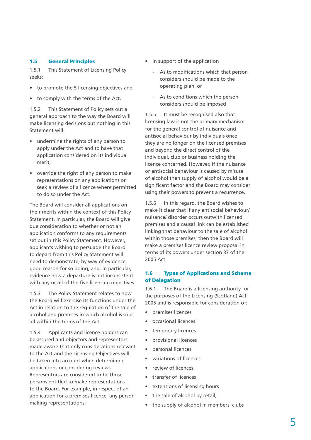#### 1.5 General Principles

1.5.1 This Statement of Licensing Policy seeks:

- to promote the 5 licensing objectives and
- to comply with the terms of the Act.

1.5.2 This Statement of Policy sets out a general approach to the way the Board will make licensing decisions but nothing in this Statement will:

- undermine the rights of any person to apply under the Act and to have that application considered on its individual merit;
- override the right of any person to make representations on any applications or seek a review of a licence where permitted to do so under the Act.

The Board will consider all applications on their merits within the context of this Policy Statement. In particular, the Board will give due consideration to whether or not an application conforms to any requirements set out in this Policy Statement. However, applicants wishing to persuade the Board to depart from this Policy Statement will need to demonstrate, by way of evidence, good reason for so doing, and, in particular, evidence how a departure is not inconsistent with any or all of the five licensing objectives

1.5.3 The Policy Statement relates to how the Board will exercise its functions under the Act in relation to the regulation of the sale of alcohol and premises in which alcohol is sold all within the terms of the Act.

1.5.4 Applicants and licence holders can be assured and objectors and representors made aware that only considerations relevant to the Act and the Licensing Objectives will be taken into account when determining applications or considering reviews. Representors are considered to be those persons entitled to make representations to the Board. For example, in respect of an application for a premises licence, any person making representations:

- In support of the application
	- As to modifications which that person considers should be made to the operating plan, or
	- As to conditions which the person considers should be imposed

1.5.5 It must be recognised also that licensing law is not the primary mechanism for the general control of nuisance and antisocial behaviour by individuals once they are no longer on the licensed premises and beyond the direct control of the individual, club or business holding the licence concerned. However, if the nuisance or antisocial behaviour is caused by misuse of alcohol then supply of alcohol would be a significant factor and the Board may consider using their powers to prevent a recurrence.

1.5.6 In this regard, the Board wishes to make it clear that if any antisocial behaviour/ nuisance/ disorder occurs outwith licensed premises and a causal link can be established linking that behaviour to the sale of alcohol within those premises, then the Board will make a premises licence review proposal in terms of its powers under section 37 of the 2005 Act

#### 1.6 Types of Applications and Scheme of Delegation

1.6.1 The Board is a licensing authority for the purposes of the Licensing (Scotland) Act 2005 and is responsible for consideration of:

- premises licences
- occasional licences
- temporary licences
- provisional licences
- personal licences
- variations of licences
- review of licences
- transfer of licences
- extensions of licensing hours
- the sale of alcohol by retail;
- the supply of alcohol in members' clubs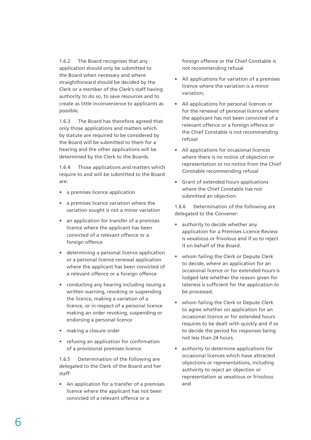1.6.2 The Board recognises that any application should only be submitted to the Board when necessary and where straightforward should be decided by the Clerk or a member of the Clerk's staff having authority to do so, to save resources and to create as little inconvenience to applicants as possible.

1.6.3 The Board has therefore agreed that only those applications and matters which by statute are required to be considered by the Board will be submitted to them for a hearing and the other applications will be determined by the Clerk to the Boards.

1.6.4 Those applications and matters which require to and will be submitted to the Board are:

- a premises licence application
- a premises licence variation where the variation sought is not a minor variation
- an application for transfer of a premises licence where the applicant has been convicted of a relevant offence or a foreign offence
- determining a personal licence application or a personal licence renewal application where the applicant has been convicted of a relevant offence or a foreign offence
- conducting any hearing including issuing a written warning, revoking or suspending the licence, making a variation of a licence, or in respect of a personal licence making an order revoking, suspending or endorsing a personal licence
- making a closure order
- refusing an application for confirmation of a provisional premises licence.

1.6.5 Determination of the following are delegated to the Clerk of the Board and her staff:

• An application for a transfer of a premises licence where the applicant has not been convicted of a relevant offence or a

foreign offence or the Chief Constable is not recommending refusal

- All applications for variation of a premises licence where the variation is a minor variation;
- All applications for personal licences or for the renewal of personal licence where the applicant has not been convicted of a relevant offence or a foreign offence or the Chief Constable is not recommending refusal
- All applications for occasional licences where there is no notice of objection or representation or no notice from the Chief Constable recommending refusal
- Grant of extended hours applications where the Chief Constable has not submitted an objection.

1.6.6 Determination of the following are delegated to the Convener:

- authority to decide whether any application for a Premises Licence Review is vexatious or frivolous and if so to reject it on behalf of the Board.
- whom failing the Clerk or Depute Clerk to decide, where an application for an occasional licence or for extended hours is lodged late whether the reason given for lateness is sufficient for the application to be processed.
- whom failing the Clerk or Depute Clerk to agree whether on application for an occasional licence or for extended hours requires to be dealt with quickly and if so to decide the period for responses being not less than 24 hours.
- authority to determine applications for occasional licences which have attracted objections or representations, including authority to reject an objection or representation as vexatious or frivolous and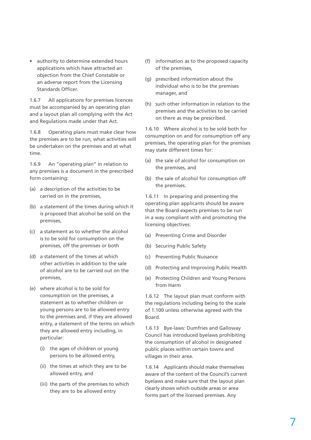• authority to determine extended hours applications which have attracted an objection from the Chief Constable or an adverse report from the Licensing Standards Officer.

1.6.7 All applications for premises licences must be accompanied by an operating plan and a layout plan all complying with the Act and Regulations made under that Act.

1.6.8 Operating plans must make clear how the premises are to be run, what activities will be undertaken on the premises and at what time.

1.6.9 An "operating plan" in relation to any premises is a document in the prescribed form containing:

- (a) a description of the activities to be carried on in the premises,
- (b) a statement of the times during which it is proposed that alcohol be sold on the premises,
- (c) a statement as to whether the alcohol is to be sold for consumption on the premises, off the premises or both
- (d) a statement of the times at which other activities in addition to the sale of alcohol are to be carried out on the premises,
- (e) where alcohol is to be sold for consumption on the premises, a statement as to whether children or young persons are to be allowed entry to the premises and, if they are allowed entry, a statement of the terms on which they are allowed entry including, in particular:
	- (i) the ages of children or young persons to be allowed entry,
	- (ii) the times at which they are to be allowed entry, and
	- (iii) the parts of the premises to which they are to be allowed entry
- (f) information as to the proposed capacity of the premises,
- (g) prescribed information about the individual who is to be the premises manager, and
- (h) such other information in relation to the premises and the activities to be carried on there as may be prescribed.

1.6.10 Where alcohol is to be sold both for consumption on and for consumption off any premises, the operating plan for the premises may state different times for:

- (a) the sale of alcohol for consumption on the premises, and
- (b) the sale of alcohol for consumption off the premises.

1.6.11 In preparing and presenting the operating plan applicants should be aware that the Board expects premises to be run in a way compliant with and promoting the licensing objectives:

- (a) Preventing Crime and Disorder
- (b) Securing Public Safety
- (c) Preventing Public Nuisance
- (d) Protecting and Improving Public Health
- (e) Protecting Children and Young Persons from Harm

1.6.12 The layout plan must conform with the regulations including being to the scale of 1:100 unless otherwise agreed with the Board.

1.6.13 Bye-laws: Dumfries and Galloway Council has introduced byelaws prohibiting the consumption of alcohol in designated public places within certain towns and villages in their area.

1.6.14 Applicants should make themselves aware of the content of the Council's current byelaws and make sure that the layout plan clearly shows which outside areas or area forms part of the licensed premises. Any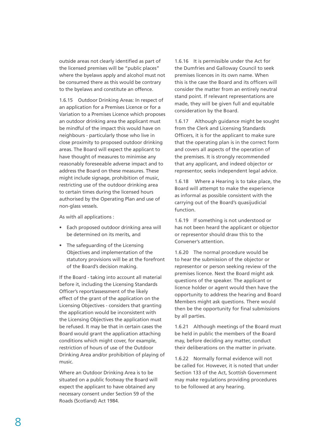outside areas not clearly identified as part of the licensed premises will be "public places" where the byelaws apply and alcohol must not be consumed there as this would be contrary to the byelaws and constitute an offence.

1.6.15 Outdoor Drinking Areas: In respect of an application for a Premises Licence or for a Variation to a Premises Licence which proposes an outdoor drinking area the applicant must be mindful of the impact this would have on neighbours - particularly those who live in close proximity to proposed outdoor drinking areas. The Board will expect the applicant to have thought of measures to minimise any reasonably foreseeable adverse impact and to address the Board on these measures. These might include signage, prohibition of music, restricting use of the outdoor drinking area to certain times during the licensed hours authorised by the Operating Plan and use of non-glass vessels.

As with all applications :

- Each proposed outdoor drinking area will be determined on its merits, and
- The safeguarding of the Licensing Objectives and implementation of the statutory provisions will be at the forefront of the Board's decision making.

If the Board - taking into account all material before it, including the Licensing Standards Officer's report/assessment of the likely effect of the grant of the application on the Licensing Objectives - considers that granting the application would be inconsistent with the Licensing Objectives the application must be refused. It may be that in certain cases the Board would grant the application attaching conditions which might cover, for example, restriction of hours of use of the Outdoor Drinking Area and/or prohibition of playing of music.

Where an Outdoor Drinking Area is to be situated on a public footway the Board will expect the applicant to have obtained any necessary consent under Section 59 of the Roads (Scotland) Act 1984.

1.6.16 It is permissible under the Act for the Dumfries and Galloway Council to seek premises licences in its own name. When this is the case the Board and its officers will consider the matter from an entirely neutral stand point. If relevant representations are made, they will be given full and equitable consideration by the Board.

1.6.17 Although guidance might be sought from the Clerk and Licensing Standards Officers, it is for the applicant to make sure that the operating plan is in the correct form and covers all aspects of the operation of the premises. It is strongly recommended that any applicant, and indeed objector or representor, seeks independent legal advice.

1.6.18 Where a Hearing is to take place, the Board will attempt to make the experience as informal as possible consistent with the carrying out of the Board's quasijudicial function.

1.6.19 If something is not understood or has not been heard the applicant or objector or representor should draw this to the Convener's attention.

1.6.20 The normal procedure would be to hear the submission of the objector or representor or person seeking review of the premises licence. Next the Board might ask questions of the speaker. The applicant or licence holder or agent would then have the opportunity to address the hearing and Board Members might ask questions. There would then be the opportunity for final submissions by all parties.

1.6.21 Although meetings of the Board must be held in public the members of the Board may, before deciding any matter, conduct their deliberations on the matter in private.

1.6.22 Normally formal evidence will not be called for. However, it is noted that under Section 133 of the Act, Scottish Government may make regulations providing procedures to be followed at any hearing.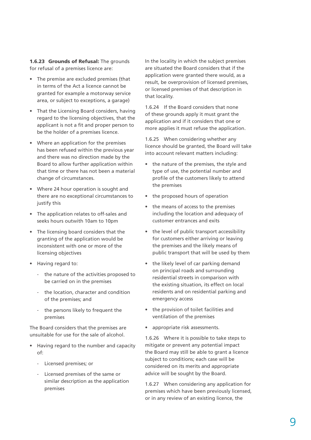1.6.23 Grounds of Refusal: The grounds for refusal of a premises licence are:

- The premise are excluded premises (that in terms of the Act a licence cannot be granted for example a motorway service area, or subject to exceptions, a garage)
- That the Licensing Board considers, having regard to the licensing objectives, that the applicant is not a fit and proper person to be the holder of a premises licence.
- Where an application for the premises has been refused within the previous year and there was no direction made by the Board to allow further application within that time or there has not been a material change of circumstances.
- Where 24 hour operation is sought and there are no exceptional circumstances to justify this
- The application relates to off-sales and seeks hours outwith 10am to 10pm
- The licensing board considers that the granting of the application would be inconsistent with one or more of the licensing objectives
- Having regard to:
	- the nature of the activities proposed to be carried on in the premises
	- the location, character and condition of the premises; and
	- the persons likely to frequent the premises

The Board considers that the premises are unsuitable for use for the sale of alcohol.

- Having regard to the number and capacity of:
	- Licensed premises; or
	- Licensed premises of the same or similar description as the application premises

In the locality in which the subject premises are situated the Board considers that if the application were granted there would, as a result, be overprovision of licensed premises, or licensed premises of that description in that locality.

1.6.24 If the Board considers that none of these grounds apply it must grant the application and if it considers that one or more applies it must refuse the application.

1.6.25 When considering whether any licence should be granted, the Board will take into account relevant matters including:

- the nature of the premises, the style and type of use, the potential number and profile of the customers likely to attend the premises
- the proposed hours of operation
- the means of access to the premises including the location and adequacy of customer entrances and exits
- the level of public transport accessibility for customers either arriving or leaving the premises and the likely means of public transport that will be used by them
- the likely level of car parking demand on principal roads and surrounding residential streets in comparison with the existing situation, its effect on local residents and on residential parking and emergency access
- the provision of toilet facilities and ventilation of the premises
- appropriate risk assessments.

1.6.26 Where it is possible to take steps to mitigate or prevent any potential impact the Board may still be able to grant a licence subject to conditions; each case will be considered on its merits and appropriate advice will be sought by the Board.

1.6.27 When considering any application for premises which have been previously licensed, or in any review of an existing licence, the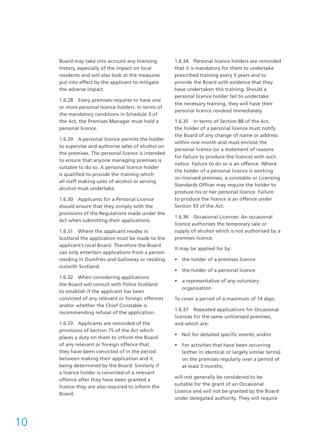Board may take into account any licensing history, especially of the impact on local residents and will also look at the measures put into effect by the applicant to mitigate the adverse impact.

1.6.28 Every premises requires to have one or more personal licence holders. In terms of the mandatory conditions in Schedule 3 of the Act, the Premises Manager must hold a personal licence.

1.6.29 A personal licence permits the holder to supervise and authorise sales of alcohol on the premises. The personal licence is intended to ensure that anyone managing premises is suitable to do so. A personal licence holder is qualified to provide the training which all staff making sales of alcohol or serving alcohol must undertake.

1.6.30 Applicants for a Personal Licence should ensure that they comply with the provisions of the Regulations made under the Act when submitting their applications.

1.6.31 Where the applicant resides in Scotland the application must be made to the applicant's local Board. Therefore the Board can only entertain applications from a person residing in Dumfries and Galloway or residing outwith Scotland.

1.6.32 When considering applications the Board will consult with Police Scotland to establish if the applicant has been convicted of any relevant or foreign offences and/or whether the Chief Constable is recommending refusal of the application.

1.6.33 Applicants are reminded of the provisions of Section 75 of the Act which places a duty on them to inform the Board of any relevant or foreign offence that they have been convicted of in the period between making their application and it being determined by the Board. Similarly if a licence holder is convicted of a relevant offence after they have been granted a licence they are also required to inform the Board.

1.6.34 Personal licence holders are reminded that it is mandatory for them to undertake prescribed training every 5 years and to provide the Board with evidence that they have undertaken this training. Should a personal licence holder fail to undertake the necessary training, they will have their personal licence revoked immediately.

1.6.35 In terms of Section 88 of the Act, the holder of a personal licence must notify the Board of any change of name or address within one month and must enclose the personal licence (or a statement of reasons for failure to produce the licence) with such notice. Failure to do so is an offence. Where the holder of a personal licence is working on licensed premises, a constable or Licensing Standards Officer may require the holder to produce his or her personal licence. Failure to produce the licence is an offence under Section 93 of the Act.

1.6.36 Occasional Licences: An occasional licence authorises the temporary sale or supply of alcohol which is not authorised by a premises licence.

It may be applied for by:

- the holder of a premises licence
- the holder of a personal licence
- a representative of any voluntary organisation

To cover a period of a maximum of 14 days.

1.6.37 Repeated applications for Occasional licences for the same unlicensed premises, and which are:

- Not for detailed specific events; and/or
- For activities that have been occurring (either in identical or largely similar terms) on the premises regularly over a period of at least 3 months;

will not generally be considered to be suitable for the grant of an Occasional Licence and will not be granted by the Board under delegated authority. They will require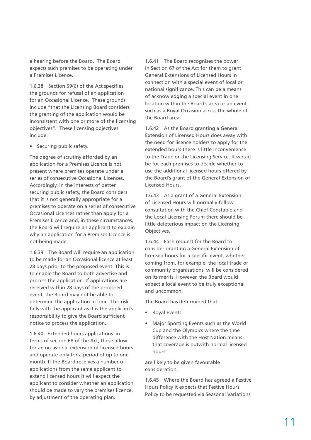a hearing before the Board. The Board expects such premises to be operating under a Premises Licence.

1.6.38 Section 59(6) of the Act specifies the grounds for refusal of an application for an Occasional Licence. These grounds include "that the Licensing Board considers the granting of the application would be inconsistent with one or more of the licensing objectives". These licensing objectives include:

• Securing public safety.

The degree of scrutiny afforded by an application for a Premises Licence is not present where premises operate under a series of consecutive Occasional Licences. Accordingly, in the interests of better securing public safety, the Board considers that it is not generally appropriate for a premises to operate on a series of consecutive Occasional Licences rather than apply for a Premises Licence and, in these circumstances, the Board will require an applicant to explain why an application for a Premises Licence is not being made.

1.6.39 The Board will require an application to be made for an Occasional licence at least 28 days prior to the proposed event. This is to enable the Board to both advertise and process the application. If applications are received within 28 days of the proposed event, the Board may not be able to determine the application in time. This risk falls with the applicant as it is the applicant's responsibility to give the Board sufficient notice to process the application.

1.6.40 Extended hours applications: in terms of section 68 of the Act, these allow for an occasional extension of licensed hours and operate only for a period of up to one month. If the Board receives a number of applications from the same applicant to extend licensed hours it will expect the applicant to consider whether an application should be made to vary the premises licence, by adjustment of the operating plan.

1.6.41 The Board recognises the power in Section 67 of the Act for them to grant General Extensions of Licensed Hours in connection with a special event of local or national significance. This can be a means of acknowledging a special event in one location within the Board's area or an event such as a Royal Occasion across the whole of the Board area.

1.6.42 As the Board granting a General Extension of Licensed Hours does away with the need for licence holders to apply for the extended hours there is little inconvenience to the Trade or the Licensing Service. It would be for each premises to decide whether to use the additional licensed hours offered by the Board's grant of the General Extension of Licensed Hours.

1.6.43 As a grant of a General Extension of Licensed Hours will normally follow consultation with the Chief Constable and the Local Licensing Forum there should be little deleterious impact on the Licensing Objectives.

1.6.44 Each request for the Board to consider granting a General Extension of licensed hours for a specific event, whether coming from, for example, the local trade or community organisations, will be considered on its merits. However, the Board would expect a local event to be truly exceptional and uncommon.

The Board has determined that

- Royal Events
- Major Sporting Events such as the World Cup and the Olympics where the time difference with the Host Nation means that coverage is outwith normal licensed hours

are likely to be given favourable consideration.

1.6.45 Where the Board has agreed a Festive Hours Policy it expects that Festive Hours Policy to be requested via Seasonal Variations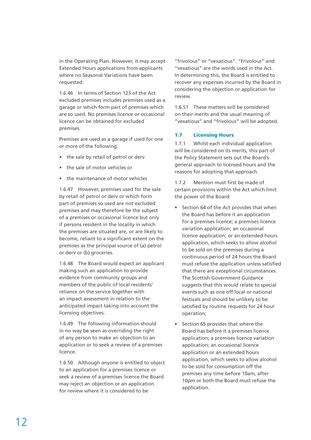in the Operating Plan. However, it may accept Extended Hours applications from applicants where no Seasonal Variations have been requested.

1.6.46 In terms of Section 123 of the Act excluded premises includes premises used as a garage or which form part of premises which are so used. No premises licence or occasional licence can be obtained for excluded premises.

Premises are used as a garage if used for one or more of the following:

- the sale by retail of petrol or derv
- the sale of motor vehicles or
- the maintenance of motor vehicles

1.6.47 However, premises used for the sale by retail of petrol or derv or which form part of premises so used are not excluded premises and may therefore be the subject of a premises or occasional licence but only if persons resident in the locality in which the premises are situated are, or are likely to become, reliant to a significant extent on the premises as the principal source of (a) petrol or derv or (b) groceries.

1.6.48 The Board would expect an applicant making such an application to provide evidence from community groups and members of the public of local residents' reliance on the service together with an impact assessment in relation to the anticipated impact taking into account the licensing objectives.

1.6.49 The following information should in no way be seen as overriding the right of any person to make an objection to an application or to seek a review of a premises licence.

1.6.50 Although anyone is entitled to object to an application for a premises licence or seek a review of a premises licence the Board may reject an objection or an application for review where it is considered to be

"frivolous" or "vexatious". "Frivolous" and "vexatious" are the words used in the Act. In determining this, the Board is entitled to recover any expenses incurred by the Board in considering the objection or application for review.

1.6.51 These matters will be considered on their merits and the usual meaning of "vexatious" and "frivolous" will be adopted.

#### 1.7 Licensing Hours

1.7.1 Whilst each individual application will be considered on its merits, this part of the Policy Statement sets out the Board's general approach to licensed hours and the reasons for adopting that approach.

1.7.2 Mention must first be made of certain provisions within the Act which limit the power of the Board:

- Section 64 of the Act provides that when the Board has before it an application for a premises licence; a premises licence variation application; an occasional licence application; or an extended hours application, which seeks to allow alcohol to be sold on the premises during a continuous period of 24 hours the Board must refuse the application unless satisfied that there are exceptional circumstances. The Scottish Government Guidance suggests that this would relate to special events such as one off local or national festivals and should be unlikely to be satisfied by routine requests for 24 hour operation;
- Section 65 provides that where the Board has before it a premises licence application; a premises licence variation application; an occasional licence application or an extended hours application, which seeks to allow alcohol to be sold for consumption off the premises any time before 10am, after 10pm or both the Board must refuse the application.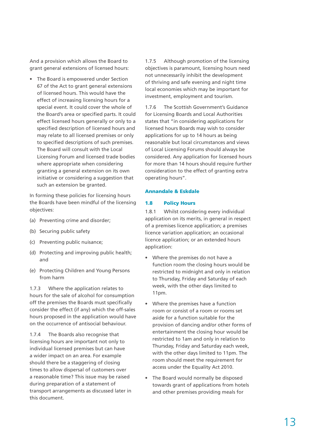And a provision which allows the Board to grant general extensions of licensed hours:

• The Board is empowered under Section 67 of the Act to grant general extensions of licensed hours. This would have the effect of increasing licensing hours for a special event. It could cover the whole of the Board's area or specified parts. It could effect licensed hours generally or only to a specified description of licensed hours and may relate to all licensed premises or only to specified descriptions of such premises. The Board will consult with the Local Licensing Forum and licensed trade bodies where appropriate when considering granting a general extension on its own initiative or considering a suggestion that such an extension be granted.

In forming these policies for licensing hours the Boards have been mindful of the licensing objectives:

- (a) Preventing crime and disorder;
- (b) Securing public safety
- (c) Preventing public nuisance;
- (d) Protecting and improving public health; and
- (e) Protecting Children and Young Persons from harm

1.7.3 Where the application relates to hours for the sale of alcohol for consumption off the premises the Boards must specifically consider the effect (if any) which the off-sales hours proposed in the application would have on the occurrence of antisocial behaviour.

1.7.4 The Boards also recognise that licensing hours are important not only to individual licensed premises but can have a wider impact on an area. For example should there be a staggering of closing times to allow dispersal of customers over a reasonable time? This issue may be raised during preparation of a statement of transport arrangements as discussed later in this document.

1.7.5 Although promotion of the licensing objectives is paramount, licensing hours need not unnecessarily inhibit the development of thriving and safe evening and night time local economies which may be important for investment, employment and tourism.

1.7.6 The Scottish Government's Guidance for Licensing Boards and Local Authorities states that "in considering applications for licensed hours Boards may wish to consider applications for up to 14 hours as being reasonable but local circumstances and views of Local Licensing Forums should always be considered. Any application for licensed hours for more than 14 hours should require further consideration to the effect of granting extra operating hours".

#### Annandale & Eskdale

#### 1.8 Policy Hours

1.8.1 Whilst considering every individual application on its merits, in general in respect of a premises licence application; a premises licence variation application; an occasional licence application; or an extended hours application:

- Where the premises do not have a function room the closing hours would be restricted to midnight and only in relation to Thursday, Friday and Saturday of each week, with the other days limited to 11pm.
- Where the premises have a function room or consist of a room or rooms set aside for a function suitable for the provision of dancing and/or other forms of entertainment the closing hour would be restricted to 1am and only in relation to Thursday, Friday and Saturday each week, with the other days limited to 11pm. The room should meet the requirement for access under the Equality Act 2010.
- The Board would normally be disposed towards grant of applications from hotels and other premises providing meals for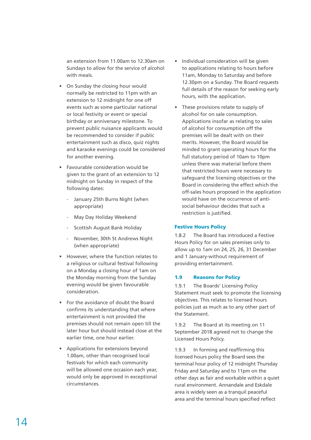an extension from 11.00am to 12.30am on Sundays to allow for the service of alcohol with meals.

- On Sunday the closing hour would normally be restricted to 11pm with an extension to 12 midnight for one off events such as some particular national or local festivity or event or special birthday or anniversary milestone. To prevent public nuisance applicants would be recommended to consider if public entertainment such as disco, quiz nights and karaoke evenings could be considered for another evening.
- Favourable consideration would be given to the grant of an extension to 12 midnight on Sunday in respect of the following dates:
	- January 25th Burns Night (when appropriate)
	- May Day Holiday Weekend
	- Scottish August Bank Holiday
	- November, 30th St Andrews Night (when appropriate)
- However, where the function relates to a religious or cultural festival following on a Monday a closing hour of 1am on the Monday morning from the Sunday evening would be given favourable consideration.
- For the avoidance of doubt the Board confirms its understanding that where entertainment is not provided the premises should not remain open till the later hour but should instead close at the earlier time, one hour earlier.
- Applications for extensions beyond 1.00am, other than recognised local festivals for which each community will be allowed one occasion each year, would only be approved in exceptional circumstances.
- Individual consideration will be given to applications relating to hours before 11am, Monday to Saturday and before 12.30pm on a Sunday. The Board requests full details of the reason for seeking early hours, with the application.
- These provisions relate to supply of alcohol for on sale consumption. Applications insofar as relating to sales of alcohol for consumption off the premises will be dealt with on their merits. However, the Board would be minded to grant operating hours for the full statutory period of 10am to 10pm unless there was material before them that restricted hours were necessary to safeguard the licensing objectives or the Board in considering the effect which the off-sales hours proposed in the application would have on the occurrence of antisocial behaviour decides that such a restriction is justified.

#### Festive Hours Policy

1.8.2 The Board has introduced a Festive Hours Policy for on sales premises only to allow up to 1am on 24, 25, 26, 31 December and 1 January-without requirement of providing entertainment.

#### 1.9 Reasons for Policy

1.9.1 The Boards' Licensing Policy Statement must seek to promote the licensing objectives. This relates to licensed hours policies just as much as to any other part of the Statement.

1.9.2 The Board at its meeting on 11 September 2018 agreed not to change the Licensed Hours Policy.

1.9.3 In forming and reaffirming this licensed hours policy the Board sees the terminal hour policy of 12 midnight Thursday Friday and Saturday and to 11pm on the other days as fair and workable within a quiet rural environment. Annandale and Eskdale area is widely seen as a tranquil peaceful area and the terminal hours specified reflect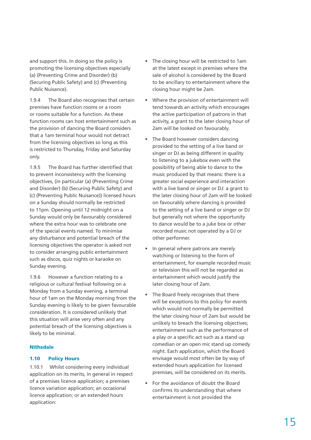and support this. In doing so the policy is promoting the licensing objectives especially (a) (Preventing Crime and Disorder) (b) (Securing Public Safety) and (c) (Preventing Public Nuisance).

1.9.4 The Board also recognises that certain premises have function rooms or a room or rooms suitable for a function. As these function rooms can host entertainment such as the provision of dancing the Board considers that a 1am terminal hour would not detract from the licensing objectives so long as this is restricted to Thursday, Friday and Saturday only.

1.9.5 The Board has further identified that to prevent inconsistency with the licensing objectives, (in particular (a) (Preventing Crime and Disorder) (b) (Securing Public Safety) and (c) (Preventing Public Nuisance)) licensed hours on a Sunday should normally be restricted to 11pm. Opening until 12 midnight on a Sunday would only be favourably considered where the extra hour was to celebrate one of the special events named. To minimise any disturbance and potential breach of the licensing objectives the operator is asked not to consider arranging public entertainment such as discos, quiz nights or karaoke on Sunday evening.

1.9.6 However a function relating to a religious or cultural festival following on a Monday from a Sunday evening, a terminal hour of 1am on the Monday morning from the Sunday evening is likely to be given favourable consideration. It is considered unlikely that this situation will arise very often and any potential breach of the licensing objectives is likely to be minimal.

#### Nithsdale

#### 1.10 Policy Hours

1.10.1 Whilst considering every individual application on its merits, in general in respect of a premises licence application; a premises licence variation application; an occasional licence application; or an extended hours application:

- The closing hour will be restricted to 1am at the latest except in premises where the sale of alcohol is considered by the Board to be ancillary to entertainment where the closing hour might be 2am.
- Where the provision of entertainment will tend towards an activity which encourages the active participation of patrons in that activity, a grant to the later closing hour of 2am will be looked on favourably.
- The Board however considers dancing provided to the setting of a live band or singer or DJ as being different in quality to listening to a jukebox even with the possibility of being able to dance to the music produced by that means: there is a greater social experience and interaction with a live band or singer or DJ: a grant to the later closing hour of 2am will be looked on favourably where dancing is provided to the setting of a live band or singer or DJ but generally not where the opportunity to dance would be to a juke box or other recorded music not operated by a DJ or other performer.
- In general where patrons are merely watching or listening to the form of entertainment, for example recorded music or television this will not be regarded as entertainment which would justify the later closing hour of 2am.
- The Board freely recognises that there will be exceptions to this policy for events which would not normally be permitted the later closing hour of 2am but would be unlikely to breach the licensing objectives; entertainment such as the performance of a play or a specific act such as a stand up comedian or an open mic stand up comedy night. Each application, which the Board envisage would most often be by way of extended hours application for licensed premises, will be considered on its merits.
- For the avoidance of doubt the Board confirms its understanding that where entertainment is not provided the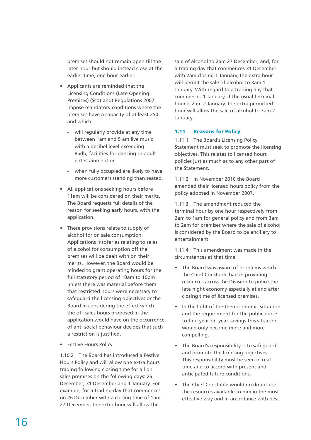premises should not remain open till the later hour but should instead close at the earlier time, one hour earlier.

- Applicants are reminded that the Licensing Conditions (Late Opening Premises) (Scotland) Regulations 2007 impose mandatory conditions where the premises have a capacity of at least 250 and which:
	- will regularly provide at any time between 1am and 5 am live music with a decibel level exceeding 85db, facilities for dancing or adult entertainment or
	- when fully occupied are likely to have more customers standing than seated.
- All applications seeking hours before 11am will be considered on their merits. The Board requests full details of the reason for seeking early hours, with the application.
- These provisions relate to supply of alcohol for on sale consumption. Applications insofar as relating to sales of alcohol for consumption off the premises will be dealt with on their merits. However, the Board would be minded to grant operating hours for the full statutory period of 10am to 10pm unless there was material before them that restricted hours were necessary to safeguard the licensing objectives or the Board in considering the effect which the off-sales hours proposed in the application would have on the occurrence of anti-social behaviour decides that such a restriction is justified.
- Festive Hours Policy

1.10.2 The Board has introduced a Festive Hours Policy and will allow one extra hours trading following closing time for all on sales premises on the following days: 26 December; 31 December and 1 January. For example, for a trading day that commences on 26 December with a closing time of 1am 27 December, the extra hour will allow the

sale of alcohol to 2am 27 December; and, for a trading day that commences 31 December with 2am closing 1 January, the extra hour will permit the sale of alcohol to 3am 1 January. With regard to a trading day that commences 1 January, if the usual terminal hour is 2am 2 January, the extra permitted hour will allow the sale of alcohol to 3am 2 January.

#### 1.11 Reasons for Policy

1.11.1 The Board's Licensing Policy Statement must seek to promote the licensing objectives. This relates to licensed hours policies just as much as to any other part of the Statement.

1.11.2 In November 2010 the Board amended their licensed hours policy from the policy adopted in November 2007.

1.11.3 The amendment reduced the terminal hour by one hour respectively from 2am to 1am for general policy and from 3am to 2am for premises where the sale of alcohol is considered by the Board to be ancillary to entertainment.

1.11.4 This amendment was made in the circumstances at that time:

- The Board was aware of problems which the Chief Constable had in providing resources across the Division to police the late night economy especially at and after closing time of licensed premises.
- In the light of the then economic situation and the requirement for the public purse to find year-on-year savings this situation would only become more and more compelling.
- The Board's responsibility is to safeguard and promote the licensing objectives. This responsibility must be seen in real time and to accord with present and anticipated future conditions.
- The Chief Constable would no doubt use the resources available to him in the most effective way and in accordance with best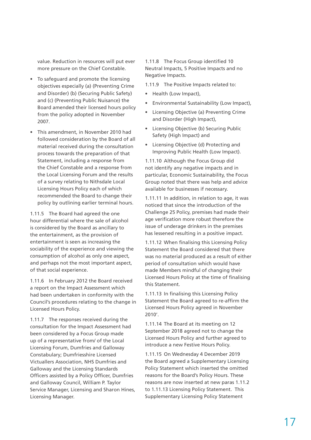value. Reduction in resources will put ever more pressure on the Chief Constable.

- To safeguard and promote the licensing objectives especially (a) (Preventing Crime and Disorder) (b) (Securing Public Safety) and (c) (Preventing Public Nuisance) the Board amended their licensed hours policy from the policy adopted in November 2007.
- This amendment, in November 2010 had followed consideration by the Board of all material received during the consultation process towards the preparation of that Statement, including a response from the Chief Constable and a response from the Local Licensing Forum and the results of a survey relating to Nithsdale Local Licensing Hours Policy each of which recommended the Board to change their policy by outlining earlier terminal hours.

1.11.5 The Board had agreed the one hour differential where the sale of alcohol is considered by the Board as ancillary to the entertainment, as the provision of entertainment is seen as increasing the sociability of the experience and viewing the consumption of alcohol as only one aspect, and perhaps not the most important aspect, of that social experience.

1.11.6 In February 2012 the Board received a report on the Impact Assessment which had been undertaken in conformity with the Council's procedures relating to the change in Licensed Hours Policy.

1.11.7 The responses received during the consultation for the Impact Assessment had been considered by a Focus Group made up of a representative from/ of the Local Licensing Forum, Dumfries and Galloway Constabulary; Dumfriesshire Licensed Victuallers Association, NHS Dumfries and Galloway and the Licensing Standards Officers assisted by a Policy Officer, Dumfries and Galloway Council, William P. Taylor Service Manager, Licensing and Sharon Hines, Licensing Manager.

1.11.8 The Focus Group identified 10 Neutral Impacts, 5 Positive Impacts and no Negative Impacts.

- 1.11.9 The Positive Impacts related to:
- Health (Low Impact),
- Environmental Sustainability (Low Impact),
- Licensing Objective (a) Preventing Crime and Disorder (High Impact),
- Licensing Objective (b) Securing Public Safety (High Impact) and
- Licensing Objective (d) Protecting and Improving Public Health (Low Impact).

1.11.10 Although the Focus Group did not identify any negative impacts and in particular, Economic Sustainability, the Focus Group noted that there was help and advice available for businesses if necessary.

1.11.11 In addition, in relation to age, it was noticed that since the introduction of the Challenge 25 Policy, premises had made their age verification more robust therefore the issue of underage drinkers in the premises has lessened resulting in a positive impact.

1.11.12 When finalising this Licensing Policy Statement the Board considered that there was no material produced as a result of either period of consultation which would have made Members mindful of changing their Licensed Hours Policy at the time of finalising this Statement.

1.11.13 In finalising this Licensing Policy Statement the Board agreed to re-affirm the Licensed Hours Policy agreed in November 2010'.

1.11.14 The Board at its meeting on 12 September 2018 agreed not to change the Licensed Hours Policy and further agreed to introduce a new Festive Hours Policy.

1.11.15 On Wednesday 4 December 2019 the Board agreed a Supplementary Licensing Policy Statement which inserted the omitted reasons for the Board's Policy Hours. These reasons are now inserted at new paras 1.11.2 to 1.11.13 Licensing Policy Statement. This Supplementary Licensing Policy Statement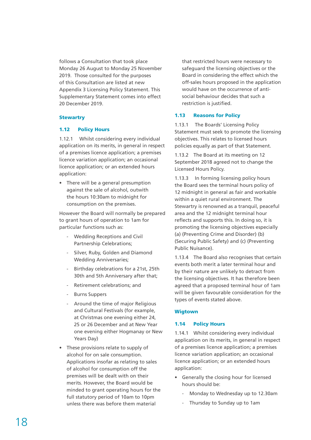follows a Consultation that took place Monday 26 August to Monday 25 November 2019. Those consulted for the purposes of this Consultation are listed at new Appendix 3 Licensing Policy Statement. This Supplementary Statement comes into effect 20 December 2019.

#### **Stewartry**

#### 1.12 Policy Hours

1.12.1 Whilst considering every individual application on its merits, in general in respect of a premises licence application; a premises licence variation application; an occasional licence application; or an extended hours application:

• There will be a general presumption against the sale of alcohol, outwith the hours 10:30am to midnight for consumption on the premises.

However the Board will normally be prepared to grant hours of operation to 1am for particular functions such as:

- Wedding Receptions and Civil Partnership Celebrations;
- Silver, Ruby, Golden and Diamond Wedding Anniversaries;
- Birthday celebrations for a 21st, 25th 30th and 5th Anniversary after that;
- Retirement celebrations; and
- Burns Suppers
- Around the time of major Religious and Cultural Festivals (for example, at Christmas one evening either 24, 25 or 26 December and at New Year one evening either Hogmanay or New Years Day)
- These provisions relate to supply of alcohol for on sale consumption. Applications insofar as relating to sales of alcohol for consumption off the premises will be dealt with on their merits. However, the Board would be minded to grant operating hours for the full statutory period of 10am to 10pm unless there was before them material

that restricted hours were necessary to safeguard the licensing objectives or the Board in considering the effect which the off-sales hours proposed in the application would have on the occurrence of antisocial behaviour decides that such a restriction is justified.

#### 1.13 Reasons for Policy

1.13.1 The Boards' Licensing Policy Statement must seek to promote the licensing objectives. This relates to licensed hours policies equally as part of that Statement.

1.13.2 The Board at its meeting on 12 September 2018 agreed not to change the Licensed Hours Policy.

1.13.3 In forming licensing policy hours the Board sees the terminal hours policy of 12 midnight in general as fair and workable within a quiet rural environment. The Stewartry is renowned as a tranquil, peaceful area and the 12 midnight terminal hour reflects and supports this. In doing so, it is promoting the licensing objectives especially (a) (Preventing Crime and Disorder) (b) (Securing Public Safety) and (c) (Preventing Public Nuisance).

1.13.4 The Board also recognises that certain events both merit a later terminal hour and by their nature are unlikely to detract from the licensing objectives. It has therefore been agreed that a proposed terminal hour of 1am will be given favourable consideration for the types of events stated above.

#### Wigtown

#### 1.14 Policy Hours

1.14.1 Whilst considering every individual application on its merits, in general in respect of a premises licence application; a premises licence variation application; an occasional licence application; or an extended hours application:

- Generally the closing hour for licensed hours should be:
	- Monday to Wednesday up to 12.30am
	- Thursday to Sunday up to 1am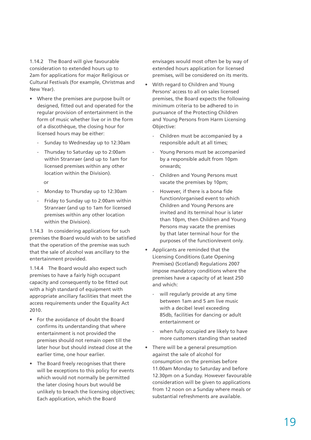1.14.2 The Board will give favourable consideration to extended hours up to 2am for applications for major Religious or Cultural Festivals (for example, Christmas and New Year).

- Where the premises are purpose built or designed, fitted out and operated for the regular provision of entertainment in the form of music whether live or in the form of a discothèque, the closing hour for licensed hours may be either:
	- Sunday to Wednesday up to 12:30am
	- Thursday to Saturday up to 2:00am within Stranraer (and up to 1am for licensed premises within any other location within the Division).
		- or
	- Monday to Thursday up to 12:30am
	- Friday to Sunday up to 2:00am within Stranraer (and up to 1am for licensed premises within any other location within the Division).

1.14.3 In considering applications for such premises the Board would wish to be satisfied that the operation of the premise was such that the sale of alcohol was ancillary to the entertainment provided.

1.14.4 The Board would also expect such premises to have a fairly high occupant capacity and consequently to be fitted out with a high standard of equipment with appropriate ancillary facilities that meet the access requirements under the Equality Act 2010.

- For the avoidance of doubt the Board confirms its understanding that where entertainment is not provided the premises should not remain open till the later hour but should instead close at the earlier time, one hour earlier.
- The Board freely recognises that there will be exceptions to this policy for events which would not normally be permitted the later closing hours but would be unlikely to breach the licensing objectives; Each application, which the Board

envisages would most often be by way of extended hours application for licensed premises, will be considered on its merits.

- With regard to Children and Young Persons' access to all on sales licensed premises, the Board expects the following minimum criteria to be adhered to in pursuance of the Protecting Children and Young Persons from Harm Licensing Objective:
	- Children must be accompanied by a responsible adult at all times;
	- Young Persons must be accompanied by a responsible adult from 10pm onwards;
	- Children and Young Persons must vacate the premises by 10pm;
	- However, if there is a bona fide function/organised event to which Children and Young Persons are invited and its terminal hour is later than 10pm, then Children and Young Persons may vacate the premises by that later terminal hour for the purposes of the function/event only.
- Applicants are reminded that the Licensing Conditions (Late Opening Premises) (Scotland) Regulations 2007 impose mandatory conditions where the premises have a capacity of at least 250 and which:
	- will regularly provide at any time between 1am and 5 am live music with a decibel level exceeding 85db, facilities for dancing or adult entertainment or
	- when fully occupied are likely to have more customers standing than seated
- There will be a general presumption against the sale of alcohol for consumption on the premises before 11.00am Monday to Saturday and before 12.30pm on a Sunday. However favourable consideration will be given to applications from 12 noon on a Sunday where meals or substantial refreshments are available.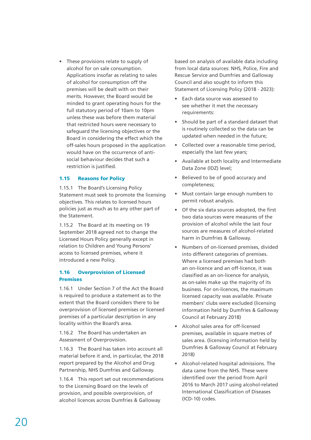• These provisions relate to supply of alcohol for on sale consumption. Applications insofar as relating to sales of alcohol for consumption off the premises will be dealt with on their merits. However, the Board would be minded to grant operating hours for the full statutory period of 10am to 10pm unless these was before them material that restricted hours were necessary to safeguard the licensing objectives or the Board in considering the effect which the off-sales hours proposed in the application would have on the occurrence of antisocial behaviour decides that such a restriction is justified.

#### 1.15 Reasons for Policy

1.15.1 The Board's Licensing Policy Statement must seek to promote the licensing objectives. This relates to licensed hours policies just as much as to any other part of the Statement.

1.15.2 The Board at its meeting on 19 September 2018 agreed not to change the Licensed Hours Policy generally except in relation to Children and Young Persons' access to licensed premises, where it introduced a new Policy.

#### 1.16 Overprovision of Licensed Premises

1.16.1 Under Section 7 of the Act the Board is required to produce a statement as to the extent that the Board considers there to be overprovision of licensed premises or licensed premises of a particular description in any locality within the Board's area.

1.16.2 The Board has undertaken an Assessment of Overprovision.

1.16.3 The Board has taken into account all material before it and, in particular, the 2018 report prepared by the Alcohol and Drug Partnership, NHS Dumfries and Galloway.

1.16.4 This report set out recommendations to the Licensing Board on the levels of provision, and possible overprovision, of alcohol licences across Dumfries & Galloway

based on analysis of available data including from local data sources: NHS, Police, Fire and Rescue Service and Dumfries and Galloway Council and also sought to inform this Statement of Licensing Policy (2018 - 2023):

- Each data source was assessed to see whether it met the necessary requirements:
- Should be part of a standard dataset that is routinely collected so the data can be updated when needed in the future;
- Collected over a reasonable time period, especially the last few years;
- Available at both locality and Intermediate Data Zone (IDZ) level;
- Believed to be of good accuracy and completeness;
- Must contain large enough numbers to permit robust analysis.
- Of the six data sources adopted, the first two data sources were measures of the provision of alcohol while the last four sources are measures of alcohol-related harm in Dumfries & Galloway.
- Numbers of on-licensed premises, divided into different categories of premises. Where a licensed premises had both an on-licence and an off-licence, it was classified as an on-licence for analysis, as on-sales make up the majority of its business. For on-licences, the maximum licensed capacity was available. Private members' clubs were excluded (licensing information held by Dumfries & Galloway Council at February 2018)
- Alcohol sales area for off-licensed premises, available in square metres of sales area. (licensing information held by Dumfries & Galloway Council at February 2018)
- Alcohol-related hospital admissions. The data came from the NHS. These were identified over the period from April 2016 to March 2017 using alcohol-related International Classification of Diseases (ICD-10) codes.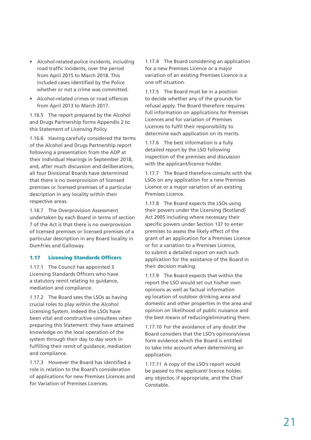- Alcohol-related police incidents, including road traffic incidents, over the period from April 2015 to March 2018. This included cases identified by the Police whether or not a crime was committed.
- Alcohol-related crimes or road offences from April 2013 to March 2017.

1.16.5 The report prepared by the Alcohol and Drugs Partnership forms Appendix 2 to this Statement of Licensing Policy.

1.16.6 Having carefully considered the terms of the Alcohol and Drugs Partnership report following a presentation from the ADP at their individual Hearings in September 2018, and, after much discussion and deliberations, all four Divisional Boards have determined that there is no overprovision of licensed premises or licensed premises of a particular description in any locality within their respective areas.

1.16.7 The Overprovision Assessment undertaken by each Board in terms of section 7 of the Act is that there is no overprovision of licensed premises or licensed premises of a particular description in any Board locality in Dumfries and Galloway.

#### 1.17 Licensing Standards Officers

1.17.1 The Council has appointed 3 Licensing Standards Officers who have a statutory remit relating to guidance, mediation and compliance.

1.17.2 The Board sees the LSOs as having crucial roles to play within the Alcohol Licensing System. Indeed the LSOs have been vital and constructive consultees when preparing this Statement: they have attained knowledge on the local operation of the system through their day to day work in fulfilling their remit of guidance, mediation and compliance.

1.17.3 However the Board has identified a role in relation to the Board's consideration of applications for new Premises Licences and for Variation of Premises Licences.

1.17.4 The Board considering an application for a new Premises Licence or a major variation of an existing Premises Licence is a one off situation.

1.17.5 The Board must be in a position to decide whether any of the grounds for refusal apply. The Board therefore requires full information on applications for Premises Licences and for variation of Premises Licences to fulfil their responsibility to determine each application on its merits.

1.17.6 The best information is a fully detailed report by the LSO following inspection of the premises and discussion with the applicant/licence holder.

1.17.7 The Board therefore consults with the LSOs on any application for a new Premises Licence or a major variation of an existing Premises Licence.

1.17.8 The Board expects the LSOs using their powers under the Licensing (Scotland) Act 2005 including where necessary their specific powers under Section 137 to enter premises to assess the likely effect of the grant of an application for a Premises Licence or for a variation to a Premises Licence, to submit a detailed report on each such application for the assistance of the Board in their decision making.

1.17.9 The Board expects that within the report the LSO would set out his/her own opinions as well as factual information eg location of outdoor drinking area and domestic and other properties in the area and opinion on likelihood of public nuisance and the best means of reducing/eliminating them.

1.17.10 For the avoidance of any doubt the Board considers that the LSO's opinions/views form evidence which the Board is entitled to take into account when determining an application.

1.17.11 A copy of the LSO's report would be passed to the applicant/ licence holder, any objector, if appropriate, and the Chief Constable.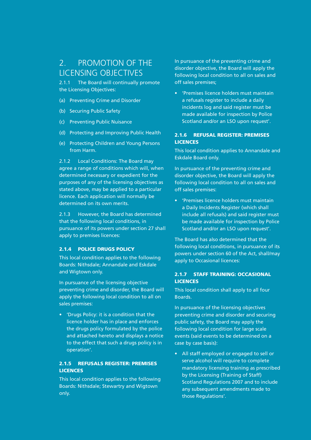## 2. PROMOTION OF THE LICENSING OBJECTIVES

2.1.1 The Board will continually promote the Licensing Objectives:

- (a) Preventing Crime and Disorder
- (b) Securing Public Safety
- (c) Preventing Public Nuisance
- (d) Protecting and Improving Public Health
- (e) Protecting Children and Young Persons from Harm.

2.1.2 Local Conditions: The Board may agree a range of conditions which will, when determined necessary or expedient for the purposes of any of the licensing objectives as stated above, may be applied to a particular licence. Each application will normally be determined on its own merits.

2.1.3 However, the Board has determined that the following local conditions, in pursuance of its powers under section 27 shall apply to premises licences:

#### 2.1.4 POLICE DRUGS POLICY

This local condition applies to the following Boards: Nithsdale; Annandale and Eskdale and Wigtown only.

In pursuance of the licensing objective preventing crime and disorder, the Board will apply the following local condition to all on sales premises:

• 'Drugs Policy: it is a condition that the licence holder has in place and enforces the drugs policy formulated by the police and attached hereto and displays a notice to the effect that such a drugs policy is in operation'.

#### 2.1.5 REFUSALS REGISTER: PREMISES **LICENCES**

This local condition applies to the following Boards: Nithsdale; Stewartry and Wigtown only.

In pursuance of the preventing crime and disorder objective, the Board will apply the following local condition to all on sales and off sales premises;

• 'Premises licence holders must maintain a refusals register to include a daily incidents log and said register must be made available for inspection by Police Scotland and/or an LSO upon request'.

#### 2.1.6 REFUSAL REGISTER: PREMISES **LICENCES**

This local condition applies to Annandale and Eskdale Board only.

In pursuance of the preventing crime and disorder objective, the Board will apply the following local condition to all on sales and off sales premises:

• 'Premises licence holders must maintain a Daily Incidents Register (which shall include all refusals) and said register must be made available for inspection by Police Scotland and/or an LSO upon request'.

The Board has also determined that the following local conditions, in pursuance of its powers under section 60 of the Act, shall/may apply to Occasional licences:

#### 2.1.7 STAFF TRAINING: OCCASIONAL **LICENCES**

This local condition shall apply to all four Boards.

In pursuance of the licensing objectives preventing crime and disorder and securing public safety, the Board may apply the following local condition for large scale events (said events to be determined on a case by case basis):

• All staff employed or engaged to sell or serve alcohol will require to complete mandatory licensing training as prescribed by the Licensing (Training of Staff) Scotland Regulations 2007 and to include any subsequent amendments made to those Regulations'.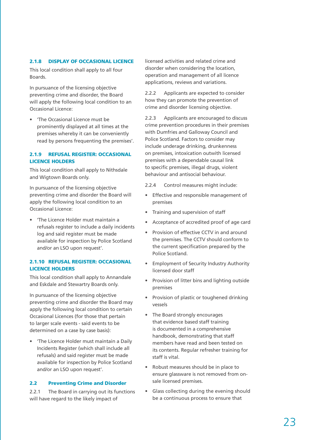#### 2.1.8 DISPLAY OF OCCASIONAL LICENCE

This local condition shall apply to all four Boards.

In pursuance of the licensing objective preventing crime and disorder, the Board will apply the following local condition to an Occasional Licence:

• 'The Occasional Licence must be prominently displayed at all times at the premises whereby it can be conveniently read by persons frequenting the premises'.

#### 2.1.9 REFUSAL REGISTER: OCCASIONAL LICENCE HOLDERS

This local condition shall apply to Nithsdale and Wigtown Boards only.

In pursuance of the licensing objective preventing crime and disorder the Board will apply the following local condition to an Occasional Licence:

• 'The Licence Holder must maintain a refusals register to include a daily incidents log and said register must be made available for inspection by Police Scotland and/or an LSO upon request'.

#### 2.1.10 REFUSAL REGISTER: OCCASIONAL LICENCE HOLDERS

This local condition shall apply to Annandale and Eskdale and Stewartry Boards only.

In pursuance of the licensing objective preventing crime and disorder the Board may apply the following local condition to certain Occasional Licences (for those that pertain to larger scale events - said events to be determined on a case by case basis):

• 'The Licence Holder must maintain a Daily Incidents Register (which shall include all refusals) and said register must be made available for inspection by Police Scotland and/or an LSO upon request'.

#### 2.2 Preventing Crime and Disorder

2.2.1 The Board in carrying out its functions will have regard to the likely impact of

licensed activities and related crime and disorder when considering the location, operation and management of all licence applications, reviews and variations.

2.2.2 Applicants are expected to consider how they can promote the prevention of crime and disorder licensing objective.

2.2.3 Applicants are encouraged to discuss crime prevention procedures in their premises with Dumfries and Galloway Council and Police Scotland. Factors to consider may include underage drinking, drunkenness on premises, intoxication outwith licensed premises with a dependable causal link to specific premises, illegal drugs, violent behaviour and antisocial behaviour.

- 2.2.4 Control measures might include:
- Effective and responsible management of premises
- Training and supervision of staff
- Acceptance of accredited proof of age card
- Provision of effective CCTV in and around the premises. The CCTV should conform to the current specification prepared by the Police Scotland.
- Employment of Security Industry Authority licensed door staff
- Provision of litter bins and lighting outside premises
- Provision of plastic or toughened drinking vessels
- The Board strongly encourages that evidence based staff training is documented in a comprehensive handbook, demonstrating that staff members have read and been tested on its contents. Regular refresher training for staff is vital.
- Robust measures should be in place to ensure glassware is not removed from onsale licensed premises.
- Glass collecting during the evening should be a continuous process to ensure that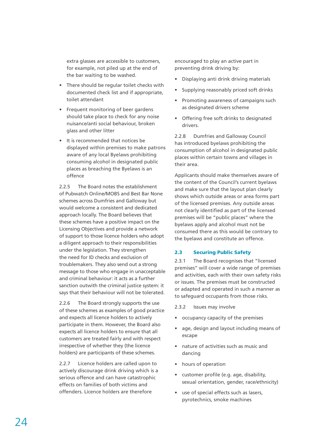extra glasses are accessible to customers, for example, not piled up at the end of the bar waiting to be washed.

- There should be regular toilet checks with documented check list and if appropriate, toilet attendant
- Frequent monitoring of beer gardens should take place to check for any noise nuisance/anti social behaviour, broken glass and other litter
- It is recommended that notices be displayed within premises to make patrons aware of any local Byelaws prohibiting consuming alcohol in designated public places as breaching the Byelaws is an offence

2.2.5 The Board notes the establishment of Pubwatch Online/MOBS and Best Bar None schemes across Dumfries and Galloway but would welcome a consistent and dedicated approach locally. The Board believes that these schemes have a positive impact on the Licensing Objectives and provide a network of support to those licence holders who adopt a diligent approach to their responsibilities under the legislation. They strengthen the need for ID checks and exclusion of troublemakers. They also send out a strong message to those who engage in unacceptable and criminal behaviour: it acts as a further sanction outwith the criminal justice system: it says that their behaviour will not be tolerated.

2.2.6 The Board strongly supports the use of these schemes as examples of good practice and expects all licence holders to actively participate in them. However, the Board also expects all licence holders to ensure that all customers are treated fairly and with respect irrespective of whether they (the licence holders) are participants of these schemes.

2.2.7 Licence holders are called upon to actively discourage drink driving which is a serious offence and can have catastrophic effects on families of both victims and offenders. Licence holders are therefore

encouraged to play an active part in preventing drink driving by:

- Displaying anti drink driving materials
- Supplying reasonably priced soft drinks
- Promoting awareness of campaigns such as designated drivers scheme
- Offering free soft drinks to designated drivers.

2.2.8 Dumfries and Galloway Council has introduced byelaws prohibiting the consumption of alcohol in designated public places within certain towns and villages in their area.

Applicants should make themselves aware of the content of the Council's current byelaws and make sure that the layout plan clearly shows which outside areas or area forms part of the licensed premises. Any outside areas not clearly identified as part of the licensed premises will be "public places" where the byelaws apply and alcohol must not be consumed there as this would be contrary to the byelaws and constitute an offence.

#### 2.3 Securing Public Safety

2.3.1 The Board recognises that "licensed premises" will cover a wide range of premises and activities, each with their own safety risks or issues. The premises must be constructed or adapted and operated in such a manner as to safeguard occupants from those risks.

- 2.3.2 Issues may involve
- occupancy capacity of the premises
- age, design and layout including means of escape
- nature of activities such as music and dancing
- hours of operation
- customer profile (e.g. age, disability, sexual orientation, gender, race/ethnicity)
- use of special effects such as lasers, pyrotechnics, smoke machines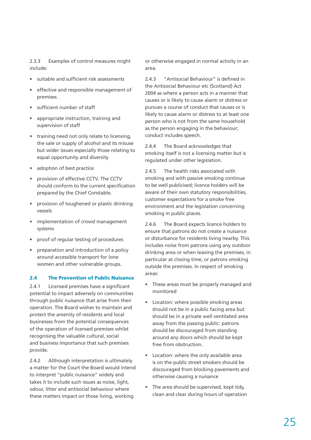2.3.3 Examples of control measures might include:

- suitable and sufficient risk assessments
- effective and responsible management of premises
- sufficient number of staff
- appropriate instruction, training and supervision of staff
- training need not only relate to licensing, the sale or supply of alcohol and its misuse but wider issues especially those relating to equal opportunity and diversity
- adoption of best practice
- provision of effective CCTV. The CCTV should conform to the current specification prepared by the Chief Constable.
- provision of toughened or plastic drinking vessels
- implementation of crowd management systems
- proof of regular testing of procedures
- preparation and introduction of a policy around accessible transport for lone women and other vulnerable groups.

#### 2.4 The Prevention of Public Nuisance

2.4.1 Licensed premises have a significant potential to impact adversely on communities through public nuisance that arise from their operation. The Board wishes to maintain and protect the amenity of residents and local businesses from the potential consequences of the operation of licensed premises whilst recognising the valuable cultural, social and business importance that such premises provide.

2.4.2 Although interpretation is ultimately a matter for the Court the Board would intend to interpret "public nuisance" widely and takes it to include such issues as noise, light, odour, litter and antisocial behaviour where these matters impact on those living, working

or otherwise engaged in normal activity in an area.

2.4.3 "Antisocial Behaviour" is defined in the Antisocial Behaviour etc (Scotland) Act 2004 as where a person acts in a manner that causes or is likely to cause alarm or distress or pursues a course of conduct that causes or is likely to cause alarm or distress to at least one person who is not from the same household as the person engaging in the behaviour; conduct includes speech.

2.4.4 The Board acknowledges that smoking itself is not a licensing matter but is regulated under other legislation.

2.4.5 The health risks associated with smoking and with passive smoking continue to be well publicised; licence holders will be aware of their own statutory responsibilities, customer expectations for a smoke free environment and the legislation concerning smoking in public places.

2.4.6 The Board expects licence holders to ensure that patrons do not create a nuisance or disturbance for residents living nearby. This includes noise from patrons using any outdoor drinking area or when leaving the premises, in particular at closing time, or patrons smoking outside the premises. In respect of smoking areas:

- These areas must be properly managed and monitored
- Location: where possible smoking areas should not be in a public facing area but should be in a private well ventilated area away from the passing public: patrons should be discouraged from standing around any doors which should be kept free from obstruction.
- Location: where the only available area is on the public street smokers should be discouraged from blocking pavements and otherwise causing a nuisance
- The area should be supervised, kept tidy, clean and clear during hours of operation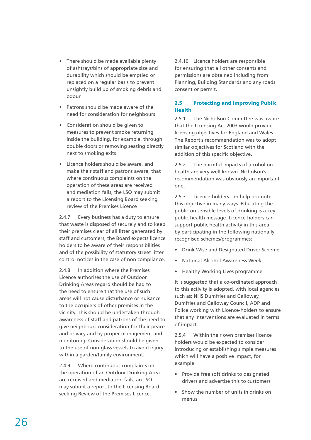- There should be made available plenty of ashtrays/bins of appropriate size and durability which should be emptied or replaced on a regular basis to prevent unsightly build up of smoking debris and odour
- Patrons should be made aware of the need for consideration for neighbours
- Consideration should be given to measures to prevent smoke returning inside the building, for example, through double doors or removing seating directly next to smoking exits
- Licence holders should be aware, and make their staff and patrons aware, that where continuous complaints on the operation of these areas are received and mediation fails, the LSO may submit a report to the Licensing Board seeking review of the Premises Licence

2.4.7 Every business has a duty to ensure that waste is disposed of securely and to keep their premises clear of all litter generated by staff and customers; the Board expects licence holders to be aware of their responsibilities and of the possibility of statutory street litter control notices in the case of non compliance.

2.4.8 In addition where the Premises Licence authorises the use of Outdoor Drinking Areas regard should be had to the need to ensure that the use of such areas will not cause disturbance or nuisance to the occupiers of other premises in the vicinity. This should be undertaken through awareness of staff and patrons of the need to give neighbours consideration for their peace and privacy and by proper management and monitoring. Consideration should be given to the use of non-glass vessels to avoid injury within a garden/family environment.

2.4.9 Where continuous complaints on the operation of an Outdoor Drinking Area are received and mediation fails, an LSO may submit a report to the Licensing Board seeking Review of the Premises Licence.

2.4.10 Licence holders are responsible for ensuring that all other consents and permissions are obtained including from Planning, Building Standards and any roads consent or permit.

#### 2.5 Protecting and Improving Public Health

2.5.1 The Nicholson Committee was aware that the Licensing Act 2003 would provide licensing objectives for England and Wales. The Report's recommendation was to adopt similar objectives for Scotland with the addition of this specific objective.

2.5.2 The harmful impacts of alcohol on health are very well known. Nicholson's recommendation was obviously an important one.

2.5.3 Licence-holders can help promote this objective in many ways. Educating the public on sensible levels of drinking is a key public health message. Licence-holders can support public health activity in this area by participating in the following nationally recognised schemes/programmes:

- Drink Wise and Designated Driver Scheme
- National Alcohol Awareness Week
- Healthy Working Lives programme

It is suggested that a co-ordinated approach to this activity is adopted, with local agencies such as; NHS Dumfries and Galloway, Dumfries and Galloway Council, ADP and Police working with Licence-holders to ensure that any interventions are evaluated in terms of impact.

2.5.4 Within their own premises licence holders would be expected to consider introducing or establishing simple measures which will have a positive impact, for example:

- Provide free soft drinks to designated drivers and advertise this to customers
- Show the number of units in drinks on menus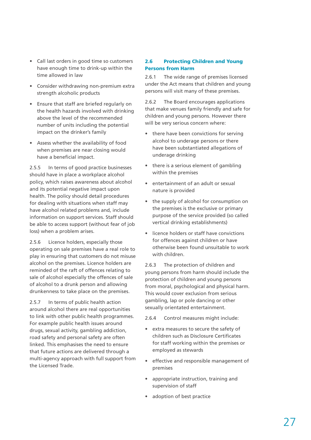- Call last orders in good time so customers have enough time to drink-up within the time allowed in law
- Consider withdrawing non-premium extra strength alcoholic products
- Ensure that staff are briefed regularly on the health hazards involved with drinking above the level of the recommended number of units including the potential impact on the drinker's family
- Assess whether the availability of food when premises are near closing would have a beneficial impact.

2.5.5 In terms of good practice businesses should have in place a workplace alcohol policy, which raises awareness about alcohol and its potential negative impact upon health. The policy should detail procedures for dealing with situations when staff may have alcohol related problems and, include information on support services. Staff should be able to access support (without fear of job loss) when a problem arises.

2.5.6 Licence holders, especially those operating on sale premises have a real role to play in ensuring that customers do not misuse alcohol on the premises. Licence holders are reminded of the raft of offences relating to sale of alcohol especially the offences of sale of alcohol to a drunk person and allowing drunkenness to take place on the premises.

2.5.7 In terms of public health action around alcohol there are real opportunities to link with other public health programmes. For example public health issues around drugs, sexual activity, gambling addiction, road safety and personal safety are often linked. This emphasises the need to ensure that future actions are delivered through a multi-agency approach with full support from the Licensed Trade.

#### 2.6 Protecting Children and Young Persons from Harm

2.6.1 The wide range of premises licensed under the Act means that children and young persons will visit many of these premises.

2.6.2 The Board encourages applications that make venues family friendly and safe for children and young persons. However there will be very serious concern where:

- there have been convictions for serving alcohol to underage persons or there have been substantiated allegations of underage drinking
- there is a serious element of gambling within the premises
- entertainment of an adult or sexual nature is provided
- the supply of alcohol for consumption on the premises is the exclusive or primary purpose of the service provided (so called vertical drinking establishments)
- licence holders or staff have convictions for offences against children or have otherwise been found unsuitable to work with children.

2.6.3 The protection of children and young persons from harm should include the protection of children and young persons from moral, psychological and physical harm. This would cover exclusion from serious gambling, lap or pole dancing or other sexually orientated entertainment.

2.6.4 Control measures might include:

- extra measures to secure the safety of children such as Disclosure Certificates for staff working within the premises or employed as stewards
- effective and responsible management of premises
- appropriate instruction, training and supervision of staff
- adoption of best practice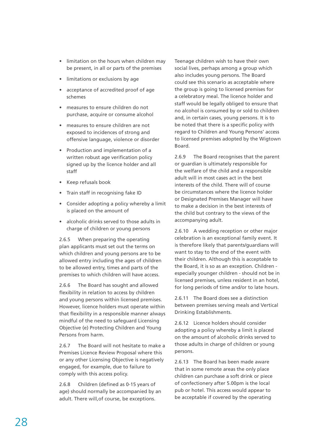- limitation on the hours when children may be present, in all or parts of the premises
- limitations or exclusions by age
- acceptance of accredited proof of age schemes
- measures to ensure children do not purchase, acquire or consume alcohol
- measures to ensure children are not exposed to incidences of strong and offensive language, violence or disorder
- Production and implementation of a written robust age verification policy signed up by the licence holder and all staff
- Keep refusals book
- Train staff in recognising fake ID
- Consider adopting a policy whereby a limit is placed on the amount of
- alcoholic drinks served to those adults in charge of children or young persons

2.6.5 When preparing the operating plan applicants must set out the terms on which children and young persons are to be allowed entry including the ages of children to be allowed entry, times and parts of the premises to which children will have access.

2.6.6 The Board has sought and allowed flexibility in relation to access by children and young persons within licensed premises. However, licence holders must operate within that flexibility in a responsible manner always mindful of the need to safeguard Licensing Objective (e) Protecting Children and Young Persons from harm.

2.6.7 The Board will not hesitate to make a Premises Licence Review Proposal where this or any other Licensing Objective is negatively engaged, for example, due to failure to comply with this access policy.

2.6.8 Children (defined as 0-15 years of age) should normally be accompanied by an adult. There will,of course, be exceptions.

Teenage children wish to have their own social lives, perhaps among a group which also includes young persons. The Board could see this scenario as acceptable where the group is going to licensed premises for a celebratory meal. The licence holder and staff would be legally obliged to ensure that no alcohol is consumed by or sold to children and, in certain cases, young persons. It is to be noted that there is a specific policy with regard to Children and Young Persons' access to licensed premises adopted by the Wigtown Board.

2.6.9 The Board recognises that the parent or guardian is ultimately responsible for the welfare of the child and a responsible adult will in most cases act in the best interests of the child. There will of course be circumstances where the licence holder or Designated Premises Manager will have to make a decision in the best interests of the child but contrary to the views of the accompanying adult.

2.6.10 A wedding reception or other major celebration is an exceptional family event. It is therefore likely that parents/guardians will want to stay to the end of the event with their children. Although this is acceptable to the Board, it is so as an exception. Children especially younger children - should not be in licensed premises, unless resident in an hotel, for long periods of time and/or to late hours.

2.6.11 The Board does see a distinction between premises serving meals and Vertical Drinking Establishments.

2.6.12 Licence holders should consider adopting a policy whereby a limit is placed on the amount of alcoholic drinks served to those adults in charge of children or young persons.

2.6.13 The Board has been made aware that in some remote areas the only place children can purchase a soft drink or piece of confectionery after 5.00pm is the local pub or hotel. This access would appear to be acceptable if covered by the operating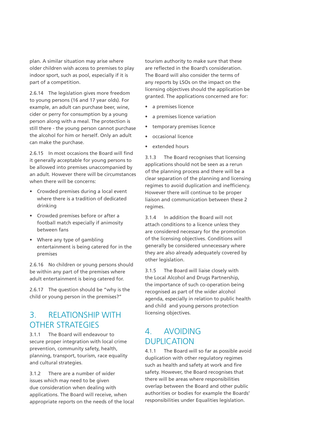plan. A similar situation may arise where older children wish access to premises to play indoor sport, such as pool, especially if it is part of a competition.

2.6.14 The legislation gives more freedom to young persons (16 and 17 year olds). For example, an adult can purchase beer, wine, cider or perry for consumption by a young person along with a meal. The protection is still there - the young person cannot purchase the alcohol for him or herself. Only an adult can make the purchase.

2.6.15 In most occasions the Board will find it generally acceptable for young persons to be allowed into premises unaccompanied by an adult. However there will be circumstances when there will be concerns:

- Crowded premises during a local event where there is a tradition of dedicated drinking
- Crowded premises before or after a football match especially if animosity between fans
- Where any type of gambling entertainment is being catered for in the premises

2.6.16 No children or young persons should be within any part of the premises where adult entertainment is being catered for.

2.6.17 The question should be "why is the child or young person in the premises?"

## 3. RELATIONSHIP WITH OTHER STRATEGIES

3.1.1 The Board will endeavour to secure proper integration with local crime prevention, community safety, health, planning, transport, tourism, race equality and cultural strategies.

3.1.2 There are a number of wider issues which may need to be given due consideration when dealing with applications. The Board will receive, when appropriate reports on the needs of the local tourism authority to make sure that these are reflected in the Board's consideration. The Board will also consider the terms of any reports by LSOs on the impact on the licensing objectives should the application be granted. The applications concerned are for:

- a premises licence
- a premises licence variation
- temporary premises licence
- occasional licence
- extended hours

3.1.3 The Board recognises that licensing applications should not be seen as a rerun of the planning process and there will be a clear separation of the planning and licensing regimes to avoid duplication and inefficiency. However there will continue to be proper liaison and communication between these 2 regimes.

3.1.4 In addition the Board will not attach conditions to a licence unless they are considered necessary for the promotion of the licensing objectives. Conditions will generally be considered unnecessary where they are also already adequately covered by other legislation.

3.1.5 The Board will liaise closely with the Local Alcohol and Drugs Partnership, the importance of such co-operation being recognised as part of the wider alcohol agenda, especially in relation to public health and child and young persons protection licensing objectives.

## 4. AVOIDING DUPLICATION

4.1.1 The Board will so far as possible avoid duplication with other regulatory regimes such as health and safety at work and fire safety. However, the Board recognises that there will be areas where responsibilities overlap between the Board and other public authorities or bodies for example the Boards' responsibilities under Equalities legislation.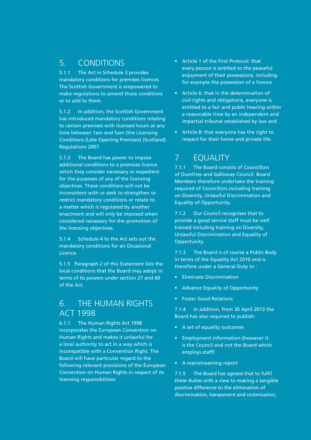## 5. CONDITIONS

5.1.1 The Act in Schedule 3 provides mandatory conditions for premises licences. The Scottish Government is empowered to make regulations to amend those conditions or to add to them.

5.1.2 In addition, the Scottish Government has introduced mandatory conditions relating to certain premises with licensed hours at any time between 1am and 5am (the Licensing Conditions (Late Opening Premises) (Scotland) Regulations 2007.

5.1.3 The Board has power to impose additional conditions to a premises licence which they consider necessary or expedient for the purposes of any of the licensing objectives. These conditions will not be inconsistent with or seek to strengthen or restrict mandatory conditions or relate to a matter which is regulated by another enactment and will only be imposed when considered necessary for the promotion of the licensing objectives.

5.1.4 Schedule 4 to the Act sets out the mandatory conditions for an Occasional Licence.

5.1.5 Paragraph 2 of this Statement lists the local conditions that the Board may adopt in terms of Its powers under section 27 and 60 of the Act.

## 6. THE HUMAN RIGHTS ACT 1998

6.1.1 The Human Rights Act 1998 incorporates the European Convention on Human Rights and makes it unlawful for a local authority to act in a way which is incompatible with a Convention Right. The Board will have particular regard to the following relevant provisions of the European Convention on Human Rights in respect of its licensing responsibilities:

- Article 1 of the First Protocol: that every person is entitled to the peaceful enjoyment of their possessions, including for example the possession of a licence
- Article 6: that in the determination of civil rights and obligations, everyone is entitled to a fair and public hearing within a reasonable time by an independent and impartial tribunal established by law and
- Article 8: that everyone has the right to respect for their home and private life.

# 7 EQUALITY

7.1.1 The Board consists of Councillors of Dumfries and Galloway Council. Board Members therefore undertake the training required of Councillors including training on Diversity, Unlawful Discrimination and Equality of Opportunity.

7.1.2 Our Council recognises that to provide a good service staff must be well trained including training on Diversity, Unlawful Discrimination and Equality of Opportunity.

7.1.3 The Board is of course a Public Body in terms of the Equality Act 2010 and is therefore under a General Duty to :

- Eliminate Discrimination
- Advance Equality of Opportunity
- Foster Good Relations

7.1.4 In addition, from 30 April 2013 the Board has also required to publish:

- A set of equality outcomes
- Employment information (however it is the Council and not the Board which employs staff)
- A mainstreaming report

7.1.5 The Board has agreed that to fulfil these duties with a view to making a tangible positive difference to the elimination of discrimination, harassment and victimisation,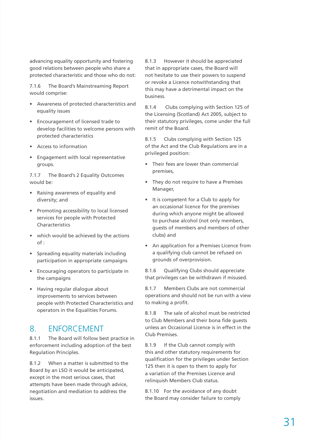advancing equality opportunity and fostering good relations between people who share a protected characteristic and those who do not:

7.1.6 The Board's Mainstreaming Report would comprise:

- Awareness of protected characteristics and equality issues
- Encouragement of licensed trade to develop facilities to welcome persons with protected characteristics
- Access to information
- Engagement with local representative groups.

7.1.7 The Board's 2 Equality Outcomes would be:

- Raising awareness of equality and diversity; and
- Promoting accessibility to local licensed services for people with Protected Characteristics
- which would be achieved by the actions of :
- Spreading equality materials including participation in appropriate campaigns
- Encouraging operators to participate in the campaigns
- Having regular dialogue about improvements to services between people with Protected Characteristics and operators in the Equalities Forums.

## 8. ENFORCEMENT

8.1.1 The Board will follow best practice in enforcement including adoption of the best Regulation Principles.

8.1.2 When a matter is submitted to the Board by an LSO it would be anticipated, except in the most serious cases, that attempts have been made through advice, negotiation and mediation to address the issues.

8.1.3 However it should be appreciated that in appropriate cases, the Board will not hesitate to use their powers to suspend or revoke a Licence notwithstanding that this may have a detrimental impact on the business.

8.1.4 Clubs complying with Section 125 of the Licensing (Scotland) Act 2005, subject to their statutory privileges, come under the full remit of the Board.

8.1.5 Clubs complying with Section 125 of the Act and the Club Regulations are in a privileged position:

- Their fees are lower than commercial premises,
- They do not require to have a Premises Manager,
- It is competent for a Club to apply for an occasional licence for the premises during which anyone might be allowed to purchase alcohol (not only members, guests of members and members of other clubs) and
- An application for a Premises Licence from a qualifying club cannot be refused on grounds of overprovision.

8.1.6 Qualifying Clubs should appreciate that privileges can be withdrawn if misused.

8.1.7 Members Clubs are not commercial operations and should not be run with a view to making a profit.

8.1.8 The sale of alcohol must be restricted to Club Members and their bona fide guests unless an Occasional Licence is in effect in the Club Premises.

8.1.9 If the Club cannot comply with this and other statutory requirements for qualification for the privileges under Section 125 then it is open to them to apply for a variation of the Premises Licence and relinquish Members Club status.

8.1.10 For the avoidance of any doubt the Board may consider failure to comply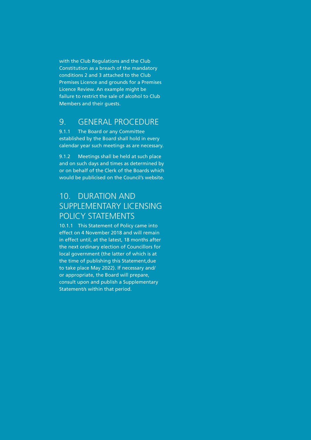with the Club Regulations and the Club Constitution as a breach of the mandatory conditions 2 and 3 attached to the Club Premises Licence and grounds for a Premises Licence Review. An example might be failure to restrict the sale of alcohol to Club Members and their guests.

### 9. GENERAL PROCEDURE

9.1.1 The Board or any Committee established by the Board shall hold in every calendar year such meetings as are necessary.

9.1.2 Meetings shall be held at such place and on such days and times as determined by or on behalf of the Clerk of the Boards which would be publicised on the Council's website.

# 10. DURATION AND SUPPLEMENTARY LICENSING POLICY STATEMENTS

10.1.1 This Statement of Policy came into effect on 4 November 2018 and will remain in effect until, at the latest, 18 months after the next ordinary election of Councillors for local government (the latter of which is at the time of publishing this Statement,due to take place May 2022). If necessary and/ or appropriate, the Board will prepare, consult upon and publish a Supplementary Statement/s within that period.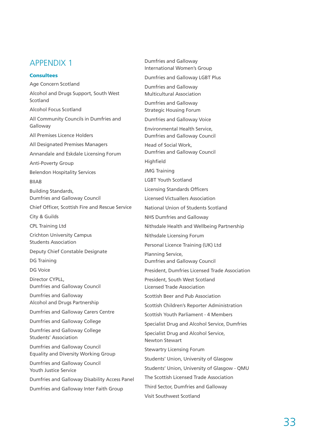## APPENDIX 1

#### **Consultees**

Age Concern Scotland Alcohol and Drugs Support, South West Scotland Alcohol Focus Scotland All Community Councils in Dumfries and Galloway All Premises Licence Holders All Designated Premises Managers Annandale and Eskdale Licensing Forum Anti-Poverty Group Belendon Hospitality Services BIIAB Building Standards, Dumfries and Galloway Council Chief Officer, Scottish Fire and Rescue Service City & Guilds CPL Training Ltd Crichton University Campus Students Association Deputy Chief Constable Designate DG Training DG Voice Director CYPLL, Dumfries and Galloway Council Dumfries and Galloway Alcohol and Drugs Partnership Dumfries and Galloway Carers Centre Dumfries and Galloway College Dumfries and Galloway College Students' Association Dumfries and Galloway Council Equality and Diversity Working Group Dumfries and Galloway Council Youth Justice Service Dumfries and Galloway Disability Access Panel Dumfries and Galloway Inter Faith Group

Dumfries and Galloway International Women's Group Dumfries and Galloway LGBT Plus Dumfries and Galloway Multicultural Association Dumfries and Galloway Strategic Housing Forum Dumfries and Galloway Voice Environmental Health Service, Dumfries and Galloway Council Head of Social Work, Dumfries and Galloway Council **Highfield** JMG Training LGBT Youth Scotland Licensing Standards Officers Licensed Victuallers Association National Union of Students Scotland NHS Dumfries and Galloway Nithsdale Health and Wellbeing Partnership Nithsdale Licensing Forum Personal Licence Training (UK) Ltd Planning Service, Dumfries and Galloway Council President, Dumfries Licensed Trade Association President, South West Scotland Licensed Trade Association Scottish Beer and Pub Association Scottish Children's Reporter Administration Scottish Youth Parliament - 4 Members Specialist Drug and Alcohol Service, Dumfries Specialist Drug and Alcohol Service, Newton Stewart Stewartry Licensing Forum Students' Union, University of Glasgow Students' Union, University of Glasgow - QMU The Scottish Licensed Trade Association Third Sector, Dumfries and Galloway Visit Southwest Scotland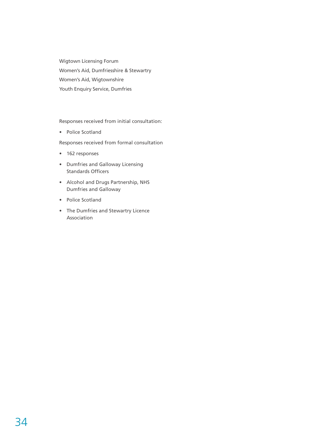Wigtown Licensing Forum Women's Aid, Dumfriesshire & Stewartry Women's Aid, Wigtownshire Youth Enquiry Service, Dumfries

Responses received from initial consultation:

• Police Scotland

Responses received from formal consultation

- 162 responses
- Dumfries and Galloway Licensing Standards Officers
- Alcohol and Drugs Partnership, NHS Dumfries and Galloway
- Police Scotland
- The Dumfries and Stewartry Licence Association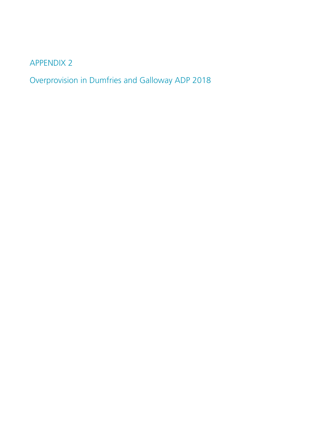APPENDIX 2

Overprovision in Dumfries and Galloway ADP 2018